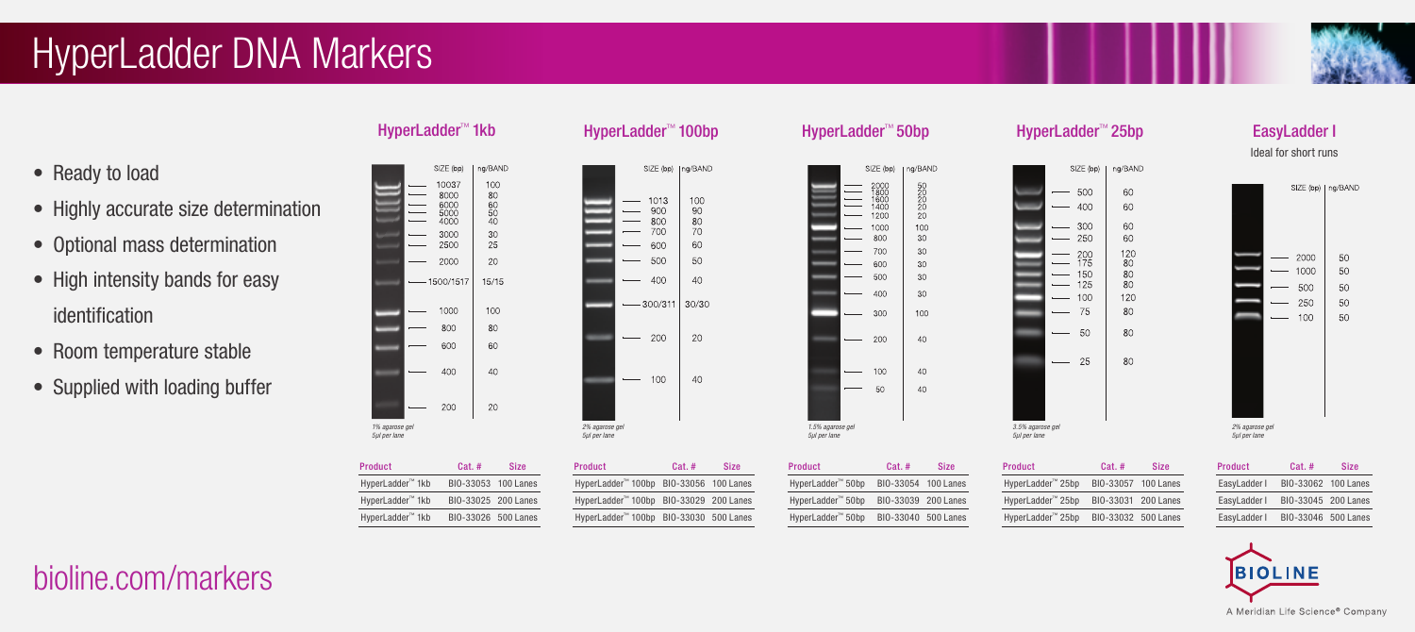# HyperLadder DNA Markers

- Ready to load
- Highly accurate size determination
- Optional mass determination
- High intensity bands for easy identification
- Room temperature stable
- Supplied with loading buffer

|  | HyperLadder™ 1kb |  |
|--|------------------|--|
|--|------------------|--|

SIZE (bp)

10037

8000

 $\frac{6000}{5000}$ 

3000

2500

2000  $\overline{\phantom{0}}$ 

1000

800

600

400 200

 $-1500/1517$ 

na/BAND

100

 $80$ <br> $60$ <br> $50$ <br> $40$ 

30

25

20

 $15/15$ 

100

80

60

40

20

*1% agarose gel 5µl per lane* 

 $\overline{\phantom{0}}$ 

 $\sim$ 

|                                | SIZE (bp) | ∣ng/BAND |
|--------------------------------|-----------|----------|
|                                | 1013      | 100      |
|                                | 900       | 90       |
|                                | 800       | 80       |
|                                | 700       | 70       |
|                                | 600       | 60       |
|                                | 500       | 50       |
|                                | 400       | 40       |
|                                | 300/311   | 30/30    |
|                                | 200       | 20       |
|                                | 100       | 40       |
|                                |           |          |
| 2% agarose gel<br>5µl per lane |           |          |

| <b>Product</b>   | Cat.#               | <b>Size</b> | Product                                | Cat.# | <b>Size</b> |
|------------------|---------------------|-------------|----------------------------------------|-------|-------------|
| HyperLadder™ 1kb | BIO-33053 100 Lanes |             | HyperLadder™ 100bp BIO-33056 100 Lanes |       |             |
| HyperLadder™ 1kb | BIO-33025 200 Lanes |             | HyperLadder™ 100bp BIO-33029 200 Lanes |       |             |
| HyperLadder™ 1kb | BIO-33026 500 Lanes |             | HyperLadder™ 100bp BIO-33030 500 Lanes |       |             |

### HyperLadder™ 50bp

|                                  | SIZE (bp)                                                                | ng/BAND                                                   |  |
|----------------------------------|--------------------------------------------------------------------------|-----------------------------------------------------------|--|
|                                  | 2000<br>1800<br>1600<br>1400<br>1200<br>1000<br>800<br>700<br>600<br>500 | 50<br>20<br>2ŏ<br>20<br>20<br>100<br>30<br>30<br>30<br>30 |  |
|                                  | 400                                                                      | 30                                                        |  |
|                                  | 300                                                                      | 100                                                       |  |
|                                  | 200                                                                      | 40                                                        |  |
|                                  | 100                                                                      | 40                                                        |  |
|                                  | 50                                                                       | 40                                                        |  |
|                                  |                                                                          |                                                           |  |
| 1.5% agarose gel<br>5µl per lane |                                                                          |                                                           |  |
|                                  |                                                                          |                                                           |  |

| <b>Product</b>    | $Cat.$ #            | <b>Size</b> |
|-------------------|---------------------|-------------|
| HyperLadder™ 50bp | BIO-33054 100 Lanes |             |
| HyperLadder™ 50bp | BIO-33039 200 Lanes |             |
| HyperLadder™ 50bp | BIO-33040 500 Lanes |             |

### HyperLadder™ 25bp SIZE (bp) ng/BAND  $-500$ 60  $-400$ 60

60

60

 $\frac{120}{80}$ 

80

 $80^{\circ}$ 

120

80

80

80

 $-300$ 

 $-250$ 

 $\equiv$ 

 $\frac{1}{2}$ 

 $\overline{\phantom{a}}$ 

 $-25$ 

 $^{200}_{175}$ 

150

 $125$ 

75

- 50

 $-100$ 



EasyLadder I Ideal for short runs

| <b>Product</b> | $Cat.$ #            | <b>Size</b> |
|----------------|---------------------|-------------|
| EasyLadder I   | BIO-33062 100 Lanes |             |
| EasyLadder I   | BIO-33045 200 Lanes |             |
| EasyLadder I   | BIO-33046 500 Lanes |             |



bioline.com/markers

HyperLadder™ 1kb BIO-33025 20 HyperLadder™ 1kb BIO-33026 50

## HyperLadder™ 100bp



| 3.5% agarose gel<br>5ul per lane |  |
|----------------------------------|--|

| roduct            | $Cat.$ #            | <b>Size</b> |
|-------------------|---------------------|-------------|
| lyperLadder™ 25bp | BIO-33057 100 Lanes |             |
| lyperLadder™ 25bp | BIO-33031 200 Lanes |             |
| lyperLadder™ 25bp | BIO-33032 500 Lanes |             |